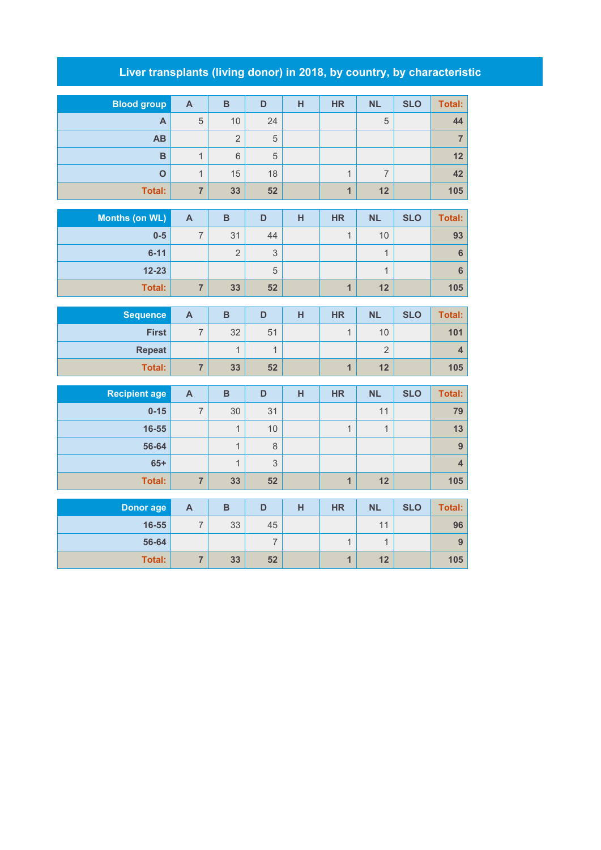## **Liver transplants (living donor) in 2018, by country, by characteristic**

| <b>Blood group</b>    | $\mathbf{A}$            | $\overline{B}$ | D              | H | <b>HR</b>      | <b>NL</b>      | <b>SLO</b> | <b>Total:</b>           |
|-----------------------|-------------------------|----------------|----------------|---|----------------|----------------|------------|-------------------------|
| $\mathsf{A}$          | 5                       | 10             | 24             |   |                | 5              |            | 44                      |
| AB                    |                         | $\overline{2}$ | $\sqrt{5}$     |   |                |                |            | $\overline{7}$          |
| B                     | $\overline{1}$          | $6\phantom{1}$ | 5              |   |                |                |            | 12                      |
| $\overline{O}$        | $\mathbf{1}$            | 15             | 18             |   | $\overline{1}$ | $\overline{7}$ |            | 42                      |
| Total:                | $\overline{7}$          | 33             | 52             |   | $\overline{1}$ | 12             |            | 105                     |
|                       |                         |                |                |   |                |                |            |                         |
| <b>Months (on WL)</b> | $\mathbf{A}$            | $\, {\bf B}$   | D              | H | <b>HR</b>      | <b>NL</b>      | <b>SLO</b> | <b>Total:</b>           |
| $0-5$                 | $\overline{7}$          | 31             | 44             |   | $\overline{1}$ | 10             |            | 93                      |
| $6 - 11$              |                         | $\overline{2}$ | $\mathsf 3$    |   |                | $\mathbf{1}$   |            | $\bf 6$                 |
| $12 - 23$             |                         |                | 5              |   |                | $\overline{1}$ |            | $\boldsymbol{6}$        |
| <b>Total:</b>         | $\overline{7}$          | 33             | 52             |   | $\overline{1}$ | 12             |            | 105                     |
|                       |                         |                |                |   |                |                |            |                         |
| <b>Sequence</b>       | $\mathbf{A}$            | $\overline{B}$ | D              | H | <b>HR</b>      | <b>NL</b>      | <b>SLO</b> | <b>Total:</b>           |
| <b>First</b>          | $\overline{7}$          | 32             | 51             |   | $\overline{1}$ | 10             |            | 101                     |
| <b>Repeat</b>         |                         | $\mathbf{1}$   | $\mathbf{1}$   |   |                | $\overline{2}$ |            | $\overline{\mathbf{4}}$ |
| <b>Total:</b>         | $\overline{\mathbf{7}}$ | 33             | 52             |   | $\overline{1}$ | 12             |            | 105                     |
| <b>Recipient age</b>  | $\mathbf{A}$            | $\, {\bf B}$   | D              | H | <b>HR</b>      | <b>NL</b>      | <b>SLO</b> | <b>Total:</b>           |
| $0 - 15$              | $\overline{7}$          | 30             | 31             |   |                | 11             |            | 79                      |
| 16-55                 |                         | $\mathbf{1}$   | 10             |   | $\mathbf{1}$   | $\mathbf{1}$   |            | 13                      |
| 56-64                 |                         | $\overline{1}$ | 8              |   |                |                |            | $\overline{9}$          |
| $65+$                 |                         | $\mathbf{1}$   | 3              |   |                |                |            | $\overline{\mathbf{4}}$ |
| <b>Total:</b>         | $\overline{7}$          | 33             | 52             |   | $\overline{1}$ | 12             |            | 105                     |
|                       |                         |                |                |   |                |                |            |                         |
| <b>Donor age</b>      | $\mathbf{A}$            | $\overline{B}$ | D              | H | <b>HR</b>      | <b>NL</b>      | <b>SLO</b> | <b>Total:</b>           |
| 16-55                 | $\overline{7}$          | 33             | 45             |   |                | 11             |            | 96                      |
| 56-64                 |                         |                | $\overline{7}$ |   | $\mathbf{1}$   | $\mathbf{1}$   |            | $\overline{9}$          |
| <b>Total:</b>         | $\overline{\mathbf{7}}$ | 33             | 52             |   | $\overline{1}$ | 12             |            | 105                     |